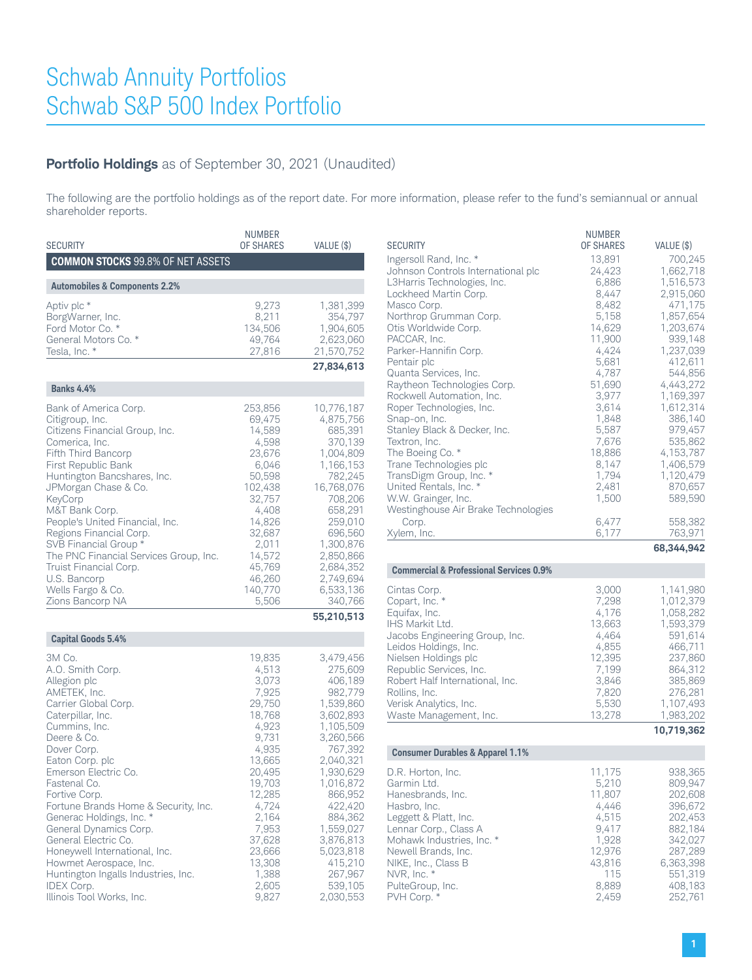### **Portfolio Holdings** as of September 30, 2021 (Unaudited)

The following are the portfolio holdings as of the report date. For more information, please refer to the fund's semiannual or annual shareholder reports.

| <b>SECURITY</b>                                                                                                                                                                                                                                                                                                                                                                                                                                                                                              | <b>NUMBER</b><br><b>OF SHARES</b>                                                                                                                                                                            | VALUE (\$)                                                                                                                                                                                                                                                             |
|--------------------------------------------------------------------------------------------------------------------------------------------------------------------------------------------------------------------------------------------------------------------------------------------------------------------------------------------------------------------------------------------------------------------------------------------------------------------------------------------------------------|--------------------------------------------------------------------------------------------------------------------------------------------------------------------------------------------------------------|------------------------------------------------------------------------------------------------------------------------------------------------------------------------------------------------------------------------------------------------------------------------|
| <b>COMMON STOCKS 99.8% OF NET ASSETS</b>                                                                                                                                                                                                                                                                                                                                                                                                                                                                     |                                                                                                                                                                                                              |                                                                                                                                                                                                                                                                        |
| <b>Automobiles &amp; Components 2.2%</b>                                                                                                                                                                                                                                                                                                                                                                                                                                                                     |                                                                                                                                                                                                              |                                                                                                                                                                                                                                                                        |
| Aptiv plc *<br>BorgWarner, Inc.<br>Ford Motor Co. *<br>General Motors Co. *<br>Tesla, Inc. *                                                                                                                                                                                                                                                                                                                                                                                                                 | 9,273<br>8,211<br>134,506<br>49,764<br>27,816                                                                                                                                                                | 1,381,399<br>354,797<br>1,904,605<br>2,623,060<br>21,570,752                                                                                                                                                                                                           |
|                                                                                                                                                                                                                                                                                                                                                                                                                                                                                                              |                                                                                                                                                                                                              | 27,834,613                                                                                                                                                                                                                                                             |
| <b>Banks 4.4%</b>                                                                                                                                                                                                                                                                                                                                                                                                                                                                                            |                                                                                                                                                                                                              |                                                                                                                                                                                                                                                                        |
| Bank of America Corp.<br>Citigroup, Inc.<br>Citizens Financial Group, Inc.<br>Comerica, Inc.<br>Fifth Third Bancorp<br>First Republic Bank<br>Huntington Bancshares, Inc.<br>JPMorgan Chase & Co.<br>KeyCorp<br>M&T Bank Corp.<br>People's United Financial, Inc.<br>Regions Financial Corp.<br>SVB Financial Group *<br>The PNC Financial Services Group, Inc.<br>Truist Financial Corp.<br>U.S. Bancorp<br>Wells Fargo & Co.<br>Zions Bancorp NA                                                           | 253,856<br>69,475<br>14,589<br>4,598<br>23,676<br>6,046<br>50,598<br>102,438<br>32,757<br>4,408<br>14,826<br>32,687<br>2,011<br>14,572<br>45,769<br>46,260<br>140,770<br>5,506                               | 10,776,187<br>4,875,756<br>685,391<br>370,139<br>1,004,809<br>1,166,153<br>782,245<br>16,768,076<br>708,206<br>658,291<br>259,010<br>696,560<br>1,300,876<br>2,850,866<br>2,684,352<br>2,749,694<br>6,533,136<br>340,766                                               |
|                                                                                                                                                                                                                                                                                                                                                                                                                                                                                                              |                                                                                                                                                                                                              | 55,210,513                                                                                                                                                                                                                                                             |
| <b>Capital Goods 5.4%</b>                                                                                                                                                                                                                                                                                                                                                                                                                                                                                    |                                                                                                                                                                                                              |                                                                                                                                                                                                                                                                        |
| 3M Co.<br>A.O. Smith Corp.<br>Allegion plc<br>AMETEK, Inc.<br>Carrier Global Corp.<br>Caterpillar, Inc.<br>Cummins, Inc.<br>Deere & Co.<br>Dover Corp.<br>Eaton Corp. plc<br>Emerson Electric Co.<br>Fastenal Co.<br>Fortive Corp.<br>Fortune Brands Home & Security, Inc.<br>Generac Holdings, Inc. *<br>General Dynamics Corp.<br>General Electric Co.<br>Honeywell International, Inc.<br>Howmet Aerospace, Inc.<br>Huntington Ingalls Industries, Inc.<br><b>IDEX Corp.</b><br>Illinois Tool Works, Inc. | 19,835<br>4,513<br>3,073<br>7,925<br>29,750<br>18,768<br>4,923<br>9,731<br>4,935<br>13,665<br>20,495<br>19,703<br>12,285<br>4,724<br>2,164<br>7,953<br>37,628<br>23,666<br>13,308<br>1,388<br>2,605<br>9,827 | 3,479,456<br>275,609<br>406,189<br>982,779<br>1,539,860<br>3,602,893<br>1,105,509<br>3,260,566<br>767,392<br>2,040,321<br>1,930,629<br>1,016,872<br>866,952<br>422,420<br>884,362<br>1,559,027<br>3,876,813<br>5,023,818<br>415,210<br>267,967<br>539,105<br>2,030,553 |

| <b>SECURITY</b><br>Ingersoll Rand, Inc. *<br>Johnson Controls International plc<br>L3Harris Technologies, Inc.<br>Lockheed Martin Corp.<br>Masco Corp.<br>Northrop Grumman Corp.<br>Otis Worldwide Corp.<br>PACCAR, Inc.<br>Parker-Hannifin Corp.<br>Pentair plc<br>Quanta Services, Inc.<br>Raytheon Technologies Corp.<br>Rockwell Automation, Inc.<br>Roper Technologies, Inc.<br>Snap-on, Inc.<br>Stanley Black & Decker, Inc.<br>Textron, Inc.<br>The Boeing Co. *<br>Trane Technologies plc<br>TransDigm Group, Inc. *<br>United Rentals, Inc. *<br>W.W. Grainger, Inc.<br>Westinghouse Air Brake Technologies | <b>NUMBER</b><br><b>OF SHARES</b><br>13,891<br>24,423<br>6,886<br>8,447<br>8,482<br>5,158<br>14,629<br>11,900<br>4,424<br>5,681<br>4,787<br>51,690<br>3,977<br>3,614<br>1,848<br>5,587<br>7,676<br>18,886<br>8,147<br>1,794<br>2,481<br>1,500 | VALUE (\$)<br>700.245<br>1,662,718<br>1,516,573<br>2,915,060<br>471,175<br>1,857,654<br>1,203,674<br>939,148<br>1,237,039<br>412,611<br>544,856<br>4,443,272<br>1,169,397<br>1,612,314<br>386,140<br>979,457<br>535,862<br>4,153,787<br>1,406,579<br>1,120,479<br>870,657<br>589,590 |
|----------------------------------------------------------------------------------------------------------------------------------------------------------------------------------------------------------------------------------------------------------------------------------------------------------------------------------------------------------------------------------------------------------------------------------------------------------------------------------------------------------------------------------------------------------------------------------------------------------------------|-----------------------------------------------------------------------------------------------------------------------------------------------------------------------------------------------------------------------------------------------|--------------------------------------------------------------------------------------------------------------------------------------------------------------------------------------------------------------------------------------------------------------------------------------|
| Corp.<br>Xylem, Inc.                                                                                                                                                                                                                                                                                                                                                                                                                                                                                                                                                                                                 | 6,477<br>6,177                                                                                                                                                                                                                                | 558,382<br>763,971                                                                                                                                                                                                                                                                   |
|                                                                                                                                                                                                                                                                                                                                                                                                                                                                                                                                                                                                                      |                                                                                                                                                                                                                                               | 68,344,942                                                                                                                                                                                                                                                                           |
| <b>Commercial &amp; Professional Services 0.9%</b>                                                                                                                                                                                                                                                                                                                                                                                                                                                                                                                                                                   |                                                                                                                                                                                                                                               |                                                                                                                                                                                                                                                                                      |
| Cintas Corp.<br>Copart, Inc. *<br>Equifax, Inc.<br>IHS Markit Ltd.<br>Jacobs Engineering Group, Inc.<br>Leidos Holdings, Inc.<br>Nielsen Holdings plc<br>Republic Services, Inc.<br>Robert Half International, Inc.<br>Rollins, Inc.<br>Verisk Analytics, Inc.<br>Waste Management, Inc.                                                                                                                                                                                                                                                                                                                             | 3,000<br>7,298<br>4,176<br>13,663<br>4,464<br>4,855<br>12,395<br>7,199<br>3,846<br>7,820<br>5,530<br>13,278                                                                                                                                   | 1,141,980<br>1,012,379<br>1,058,282<br>1,593,379<br>591,614<br>466,711<br>237,860<br>864,312<br>385,869<br>276,281<br>1,107,493<br>1,983,202<br>10,719,362                                                                                                                           |
|                                                                                                                                                                                                                                                                                                                                                                                                                                                                                                                                                                                                                      |                                                                                                                                                                                                                                               |                                                                                                                                                                                                                                                                                      |
| <b>Consumer Durables &amp; Apparel 1.1%</b>                                                                                                                                                                                                                                                                                                                                                                                                                                                                                                                                                                          |                                                                                                                                                                                                                                               |                                                                                                                                                                                                                                                                                      |
| D.R. Horton, Inc.<br>Garmin Ltd.<br>Hanesbrands, Inc.<br>Hasbro, Inc.<br>Leggett & Platt, Inc.<br>Lennar Corp., Class A<br>Mohawk Industries, Inc. *<br>Newell Brands, Inc.<br>NIKE, Inc., Class B<br>NVR, Inc. *<br>PulteGroup, Inc.                                                                                                                                                                                                                                                                                                                                                                                | 11,175<br>5,210<br>11,807<br>4,446<br>4,515<br>9,417<br>1,928<br>12,976<br>43,816<br>115<br>8,889                                                                                                                                             | 938,365<br>809,947<br>202,608<br>396,672<br>202,453<br>882,184<br>342,027<br>287,289<br>6,363,398<br>551,319<br>408,183                                                                                                                                                              |

PulteGroup, Inc. 6. 1839 408,183<br>PVH Corp. \* 1840 2,459 2,459 2,459 2,52,761

PVH Corp. \*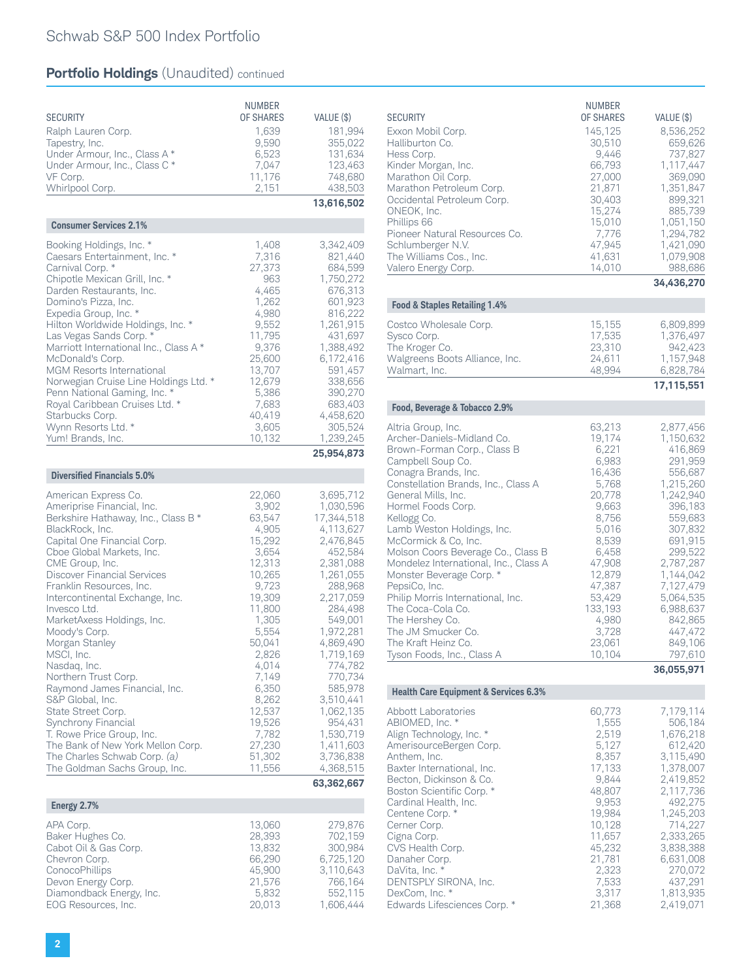| <b>SECURITY</b><br>Ralph Lauren Corp.<br>Tapestry, Inc.<br>Under Armour, Inc., Class A *<br>Under Armour, Inc., Class C *<br>VF Corp.<br>Whirlpool Corp.                                                                                                                                                                                                                                                                                                                                                                          | <b>NUMBER</b><br><b>OF SHARES</b><br>1,639<br>9,590<br>6,523<br>7,047<br>11,176<br>2,151                                                                            | VALUE (\$)<br>181,994<br>355,022<br>131,634<br>123,463<br>748,680<br>438,503<br>13,616,502                                                                                                                       |
|-----------------------------------------------------------------------------------------------------------------------------------------------------------------------------------------------------------------------------------------------------------------------------------------------------------------------------------------------------------------------------------------------------------------------------------------------------------------------------------------------------------------------------------|---------------------------------------------------------------------------------------------------------------------------------------------------------------------|------------------------------------------------------------------------------------------------------------------------------------------------------------------------------------------------------------------|
| <b>Consumer Services 2.1%</b>                                                                                                                                                                                                                                                                                                                                                                                                                                                                                                     |                                                                                                                                                                     |                                                                                                                                                                                                                  |
| Booking Holdings, Inc. *<br>Caesars Entertainment, Inc. *<br>Carnival Corp. *<br>Chipotle Mexican Grill, Inc. *<br>Darden Restaurants, Inc.<br>Domino's Pizza, Inc.<br>Expedia Group, Inc. *<br>Hilton Worldwide Holdings, Inc. *<br>Las Vegas Sands Corp. *<br>Marriott International Inc., Class A *<br>McDonald's Corp.<br>MGM Resorts International<br>Norwegian Cruise Line Holdings Ltd. *<br>Penn National Gaming, Inc. *<br>Royal Caribbean Cruises Ltd. *<br>Starbucks Corp.<br>Wynn Resorts Ltd. *<br>Yum! Brands, Inc. | 1,408<br>7,316<br>27,373<br>963<br>4,465<br>1,262<br>4,980<br>9,552<br>11,795<br>9,376<br>25,600<br>13,707<br>12,679<br>5,386<br>7,683<br>40,419<br>3,605<br>10,132 | 3,342,409<br>821,440<br>684,599<br>1,750,272<br>676,313<br>601,923<br>816,222<br>1,261,915<br>431,697<br>1,388,492<br>6,172,416<br>591,457<br>338,656<br>390,270<br>683,403<br>4,458,620<br>305,524<br>1,239,245 |
| <b>Diversified Financials 5.0%</b>                                                                                                                                                                                                                                                                                                                                                                                                                                                                                                |                                                                                                                                                                     | 25,954,873                                                                                                                                                                                                       |
| Ameriprise Financial, Inc.<br>Berkshire Hathaway, Inc., Class B *<br>BlackRock, Inc.<br>Capital One Financial Corp.<br>Cboe Global Markets, Inc.<br>CME Group, Inc.<br><b>Discover Financial Services</b><br>Franklin Resources, Inc.<br>Intercontinental Exchange, Inc.<br>Invesco Ltd.<br>MarketAxess Holdings, Inc.<br>Moody's Corp.<br>Morgan Stanley<br>MSCI, Inc.                                                                                                                                                           | 3,902<br>63,547<br>4,905<br>15,292<br>3,654<br>12,313<br>10,265<br>9,723<br>19,309<br>11,800<br>1,305<br>5,554<br>50,041<br>2,826                                   | 1,030,596<br>17,344,518<br>4,113,627<br>2,476,845<br>452,584<br>2,381,088<br>1,261,055<br>288,968<br>2,217,059<br>284,498<br>549,001<br>1,972,281<br>4,869,490<br>1,719,169                                      |
| Nasdaq, Inc.<br>Northern Trust Corp.<br>Raymond James Financial, Inc.<br>S&P Global, Inc.<br>State Street Corp.<br>Synchrony Financial<br>T. Rowe Price Group, Inc.<br>The Bank of New York Mellon Corp.<br>The Charles Schwab Corp. (a)<br>The Goldman Sachs Group, Inc.                                                                                                                                                                                                                                                         | 4,014<br>7,149<br>6,350<br>8,262<br>12,537<br>19,526<br>7,782<br>27,230<br>51,302<br>11,556                                                                         | 774,782<br>770,734<br>585,978<br>3,510,441<br>1,062,135<br>954,431<br>1,530,719<br>1,411,603<br>3,736,838<br>4,368,515                                                                                           |
|                                                                                                                                                                                                                                                                                                                                                                                                                                                                                                                                   |                                                                                                                                                                     | 63,362,667                                                                                                                                                                                                       |
| Energy 2.7%<br>APA Corp.                                                                                                                                                                                                                                                                                                                                                                                                                                                                                                          | 13,060                                                                                                                                                              | 279,876                                                                                                                                                                                                          |
| Baker Hughes Co.<br>Cabot Oil & Gas Corp.<br>Chevron Corp.<br>ConocoPhillips<br>Devon Energy Corp.<br>Diamondback Energy, Inc.<br>EOG Resources, Inc.                                                                                                                                                                                                                                                                                                                                                                             | 28,393<br>13,832<br>66,290<br>45,900<br>21,576<br>5,832<br>20,013                                                                                                   | 702,159<br>300,984<br>6,725,120<br>3,110,643<br>766,164<br>552,115<br>1,606,444                                                                                                                                  |

| <b>SECURITY</b><br>Exxon Mobil Corp.<br>Halliburton Co.<br>Hess Corp.<br>Kinder Morgan, Inc.<br>Marathon Oil Corp.<br>Marathon Petroleum Corp.<br>Occidental Petroleum Corp.<br>ONEOK, Inc.<br>Phillips 66<br>Pioneer Natural Resources Co.<br>Schlumberger N.V.<br>The Williams Cos., Inc.<br>Valero Energy Corp.                                                                                                                                                                                                                                                        | NUMBER<br>OF SHARES<br>145,125<br>30,510<br>9,446<br>66,793<br>27,000<br>21,871<br>30,403<br>15,274<br>15,010<br>7,776<br>47,945<br>41,631<br>14,010                                                  | VALUE (\$)<br>8,536,252<br>659,626<br>737,827<br>1,117,447<br>369,090<br>1,351,847<br>899,321<br>885,739<br>1,051,150<br>1,294,782<br>1,421,090<br>1,079,908<br>988,686<br>34,436,270                                                                               |
|---------------------------------------------------------------------------------------------------------------------------------------------------------------------------------------------------------------------------------------------------------------------------------------------------------------------------------------------------------------------------------------------------------------------------------------------------------------------------------------------------------------------------------------------------------------------------|-------------------------------------------------------------------------------------------------------------------------------------------------------------------------------------------------------|---------------------------------------------------------------------------------------------------------------------------------------------------------------------------------------------------------------------------------------------------------------------|
| Food & Staples Retailing 1.4%                                                                                                                                                                                                                                                                                                                                                                                                                                                                                                                                             |                                                                                                                                                                                                       |                                                                                                                                                                                                                                                                     |
| Costco Wholesale Corp.<br>Sysco Corp.<br>The Kroger Co.<br>Walgreens Boots Alliance, Inc.<br>Walmart, Inc.                                                                                                                                                                                                                                                                                                                                                                                                                                                                | 15,155<br>17,535<br>23,310<br>24,611<br>48,994                                                                                                                                                        | 6,809,899<br>1,376,497<br>942,423<br>1,157,948<br>6,828,784<br>17,115,551                                                                                                                                                                                           |
| Food, Beverage & Tobacco 2.9%                                                                                                                                                                                                                                                                                                                                                                                                                                                                                                                                             |                                                                                                                                                                                                       |                                                                                                                                                                                                                                                                     |
| Altria Group, Inc.<br>Archer-Daniels-Midland Co.<br>Brown-Forman Corp., Class B<br>Campbell Soup Co.<br>Conagra Brands, Inc.<br>Constellation Brands, Inc., Class A<br>General Mills, Inc.<br>Hormel Foods Corp.<br>Kellogg Co.<br>Lamb Weston Holdings, Inc.<br>McCormick & Co, Inc.<br>Molson Coors Beverage Co., Class B<br>Mondelez International, Inc., Class A<br>Monster Beverage Corp. *<br>PepsiCo, Inc.<br>Philip Morris International, Inc.<br>The Coca-Cola Co.<br>The Hershey Co.<br>The JM Smucker Co.<br>The Kraft Heinz Co.<br>Tyson Foods, Inc., Class A | 63,213<br>19,174<br>6,221<br>6,983<br>16,436<br>5,768<br>20,778<br>9,663<br>8,756<br>5,016<br>8,539<br>6,458<br>47,908<br>12,879<br>47,387<br>53,429<br>133,193<br>4,980<br>3,728<br>23,061<br>10,104 | 2,877,456<br>1,150,632<br>416,869<br>291,959<br>556,687<br>1,215,260<br>1,242,940<br>396,183<br>559,683<br>307,832<br>691,915<br>299,522<br>2,787,287<br>1,144,042<br>7,127,479<br>5,064,535<br>6,988,637<br>842,865<br>447,472<br>849,106<br>797,610<br>36,055,971 |
| <b>Health Care Equipment &amp; Services 6.3%</b>                                                                                                                                                                                                                                                                                                                                                                                                                                                                                                                          |                                                                                                                                                                                                       |                                                                                                                                                                                                                                                                     |
| Abbott Laboratories<br>ABIOMED, Inc. *<br>Align Technology, Inc. *<br>AmerisourceBergen Corp.<br>Anthem, Inc.<br>Baxter International, Inc.<br>Becton, Dickinson & Co.<br>Boston Scientific Corp. *<br>Cardinal Health, Inc.<br>Centene Corp. *<br>Cerner Corp.<br>Cigna Corp.<br>CVS Health Corp.<br>Danaher Corp.<br>DaVita, Inc. *<br>DENTSPLY SIRONA, Inc.<br>DexCom, Inc. *<br>Edwards Lifesciences Corp. *                                                                                                                                                          | 60,773<br>1,555<br>2,519<br>5,127<br>8,357<br>17,133<br>9,844<br>48,807<br>9,953<br>19,984<br>10,128<br>11,657<br>45,232<br>21,781<br>2,323<br>7,533<br>3,317<br>21,368                               | 7,179,114<br>506,184<br>1,676,218<br>612,420<br>3,115,490<br>1,378,007<br>2,419,852<br>2,117,736<br>492,275<br>1,245,203<br>714,227<br>2,333,265<br>3,838,388<br>6,631,008<br>270,072<br>437,291<br>1,813,935<br>2,419,071                                          |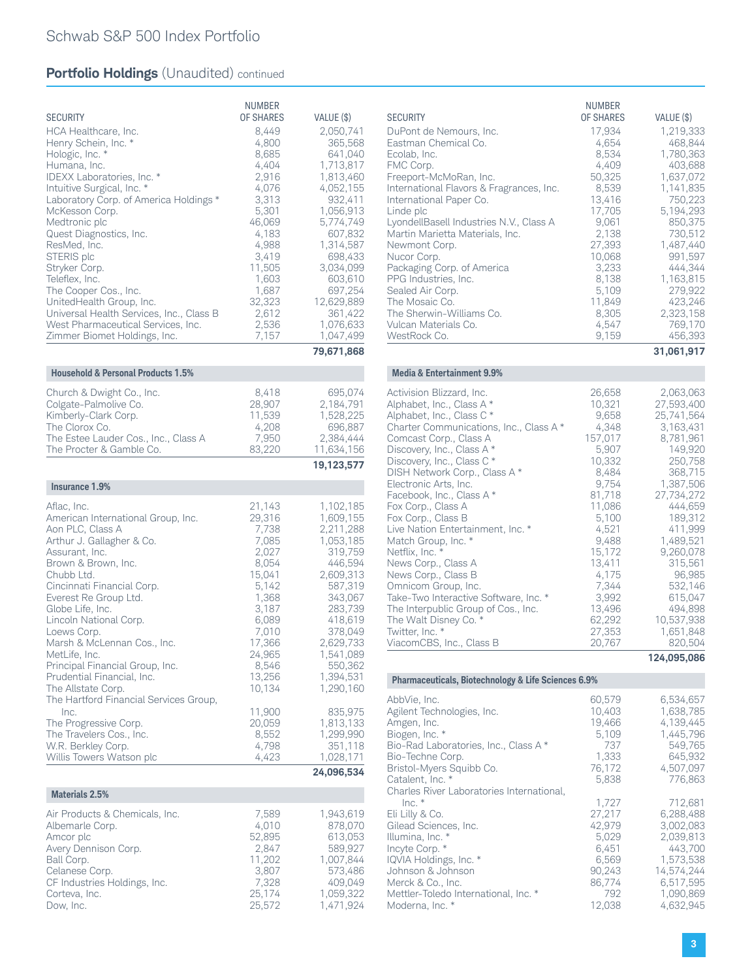| <b>SECURITY</b><br>HCA Healthcare, Inc.<br>Henry Schein, Inc. *<br>Hologic, Inc. *<br>Humana, Inc.<br>IDEXX Laboratories, Inc. *<br>Intuitive Surgical, Inc. *<br>Laboratory Corp. of America Holdings *<br>McKesson Corp.<br>Medtronic plc<br>Quest Diagnostics, Inc.<br>ResMed, Inc.<br>STERIS plc<br>Stryker Corp.<br>Teleflex, Inc.<br>The Cooper Cos., Inc.<br>UnitedHealth Group, Inc.<br>Universal Health Services, Inc., Class B<br>West Pharmaceutical Services, Inc.<br>Zimmer Biomet Holdings, Inc. | <b>NUMBER</b><br>OF SHARES<br>8,449<br>4,800<br>8,685<br>4,404<br>2,916<br>4,076<br>3,313<br>5,301<br>46,069<br>4,183<br>4,988<br>3,419<br>11,505<br>1,603<br>1,687<br>32,323<br>2,612<br>2,536<br>7,157 | VALUE (\$)<br>2,050,741<br>365,568<br>641,040<br>1,713,817<br>1,813,460<br>4,052,155<br>932,411<br>1,056,913<br>5,774,749<br>607,832<br>1,314,587<br>698,433<br>3,034,099<br>603,610<br>697,254<br>12,629,889<br>361,422<br>1,076,633<br>1,047,499 |
|----------------------------------------------------------------------------------------------------------------------------------------------------------------------------------------------------------------------------------------------------------------------------------------------------------------------------------------------------------------------------------------------------------------------------------------------------------------------------------------------------------------|----------------------------------------------------------------------------------------------------------------------------------------------------------------------------------------------------------|----------------------------------------------------------------------------------------------------------------------------------------------------------------------------------------------------------------------------------------------------|
|                                                                                                                                                                                                                                                                                                                                                                                                                                                                                                                |                                                                                                                                                                                                          | 79,671,868                                                                                                                                                                                                                                         |
| <b>Household &amp; Personal Products 1.5%</b>                                                                                                                                                                                                                                                                                                                                                                                                                                                                  |                                                                                                                                                                                                          |                                                                                                                                                                                                                                                    |
| Church & Dwight Co., Inc.<br>Colgate-Palmolive Co.<br>Kimberly-Clark Corp.<br>The Clorox Co.<br>The Estee Lauder Cos., Inc., Class A<br>The Procter & Gamble Co.                                                                                                                                                                                                                                                                                                                                               | 8,418<br>28,907<br>11,539<br>4,208<br>7,950<br>83,220                                                                                                                                                    | 695,074<br>2,184,791<br>1,528,225<br>696,887<br>2,384,444<br>11,634,156                                                                                                                                                                            |
|                                                                                                                                                                                                                                                                                                                                                                                                                                                                                                                |                                                                                                                                                                                                          | 19,123,577                                                                                                                                                                                                                                         |
| Insurance 1.9%                                                                                                                                                                                                                                                                                                                                                                                                                                                                                                 |                                                                                                                                                                                                          |                                                                                                                                                                                                                                                    |
| Aflac, Inc.<br>American International Group, Inc.<br>Aon PLC, Class A<br>Arthur J. Gallagher & Co.<br>Assurant, Inc.<br>Brown & Brown, Inc.<br>Chubb Ltd.<br>Cincinnati Financial Corp.<br>Everest Re Group Ltd.<br>Globe Life, Inc.<br>Lincoln National Corp.<br>Loews Corp.<br>Marsh & McLennan Cos., Inc.<br>MetLife, Inc.<br>Principal Financial Group, Inc.<br>Prudential Financial, Inc.<br>The Allstate Corp.<br>The Hartford Financial Services Group,<br>Inc.<br>The Progressive Corp.                | 21,143<br>29,316<br>7,738<br>7,085<br>2,027<br>8,054<br>15,041<br>5,142<br>1,368<br>3,187<br>6,089<br>7,010<br>17,366<br>24,965<br>8,546<br>13,256<br>10,134<br>11,900<br>20,059                         | 1,102,185<br>1,609,155<br>2,211,288<br>1,053,185<br>319,759<br>446,594<br>2,609,313<br>587,319<br>343,067<br>283,739<br>418,619<br>378,049<br>2,629,733<br>1,541,089<br>550,362<br>1,394,531<br>1,290,160<br>835,975<br>1,813,133                  |
| The Travelers Cos., Inc.<br>W.R. Berkley Corp.<br>Willis Towers Watson plc                                                                                                                                                                                                                                                                                                                                                                                                                                     | 8,552<br>4,798<br>4,423                                                                                                                                                                                  | 1,299,990<br>351,118<br>1,028,171                                                                                                                                                                                                                  |
|                                                                                                                                                                                                                                                                                                                                                                                                                                                                                                                |                                                                                                                                                                                                          | 24,096,534                                                                                                                                                                                                                                         |
| <b>Materials 2.5%</b>                                                                                                                                                                                                                                                                                                                                                                                                                                                                                          |                                                                                                                                                                                                          |                                                                                                                                                                                                                                                    |
| Air Products & Chemicals, Inc.<br>Albemarle Corp.<br>Amcor plc<br>Avery Dennison Corp.<br>Ball Corp.<br>Celanese Corp.<br>CF Industries Holdings, Inc.<br>Corteva, Inc.<br>Dow, Inc.                                                                                                                                                                                                                                                                                                                           | 7,589<br>4,010<br>52,895<br>2,847<br>11,202<br>3,807<br>7,328<br>25,174<br>25,572                                                                                                                        | 1,943,619<br>878,070<br>613,053<br>589,927<br>1,007,844<br>573,486<br>409,049<br>1,059,322<br>1,471,924                                                                                                                                            |

|                                            | <b>NUMBER</b>    |                      |
|--------------------------------------------|------------------|----------------------|
| <b>SECURITY</b>                            | <b>OF SHARES</b> | VALUE (\$)           |
| DuPont de Nemours, Inc.                    | 17,934           | 1,219,333            |
| Eastman Chemical Co.                       | 4,654            | 468,844              |
| Ecolab, Inc.                               | 8,534            | 1.780.363            |
| FMC Corp.                                  | 4,409            | 403,688              |
| Freeport-McMoRan, Inc.                     | 50,325           | 1,637,072            |
| International Flavors & Fragrances, Inc.   | 8,539            | 1.141.835            |
| International Paper Co.                    | 13,416           | 750,223              |
| Linde plc                                  | 17,705           | 5,194,293            |
| LyondellBasell Industries N.V., Class A    | 9,061            | 850.375              |
| Martin Marietta Materials, Inc.            | 2,138            | 730,512              |
| Newmont Corp.                              | 27,393           | 1,487,440            |
| Nucor Corp.                                | 10,068           | 991,597              |
| Packaging Corp. of America                 | 3,233            | 444,344              |
| PPG Industries, Inc.                       | 8,138            | 1,163,815            |
| Sealed Air Corp.                           | 5,109            | 279,922              |
| The Mosaic Co.<br>The Sherwin-Williams Co. | 11,849<br>8,305  | 423.246<br>2,323,158 |
| Vulcan Materials Co.                       | 4,547            | 769,170              |
| WestRock Co.                               | 9,159            | 456,393              |
|                                            |                  | 31,061,917           |
|                                            |                  |                      |

#### **Media & Entertainment 9.9%**

| Activision Blizzard, Inc.<br>Alphabet, Inc., Class A* | 26,658<br>10,321 | 2,063,063<br>27,593,400 |
|-------------------------------------------------------|------------------|-------------------------|
| Alphabet, Inc., Class C*                              | 9,658            | 25,741,564              |
| Charter Communications, Inc., Class A *               | 4,348            | 3,163,431               |
| Comcast Corp., Class A                                | 157,017          | 8,781,961               |
| Discovery, Inc., Class A*                             | 5,907            | 149,920                 |
| Discovery, Inc., Class C *                            | 10,332           | 250,758                 |
| DISH Network Corp., Class A*                          | 8,484            | 368,715                 |
| Electronic Arts, Inc.                                 | 9,754            | 1,387,506               |
| Facebook, Inc., Class A *                             | 81,718           | 27,734,272              |
| Fox Corp., Class A                                    | 11,086           | 444.659                 |
| Fox Corp., Class B                                    | 5,100            | 189,312                 |
| Live Nation Entertainment, Inc. *                     | 4,521            | 411,999                 |
| Match Group, Inc. *                                   | 9,488            | 1,489,521               |
| Netflix, Inc. *                                       | 15.172           | 9,260,078               |
| News Corp., Class A                                   | 13,411           | 315,561                 |
| News Corp., Class B                                   | 4,175            | 96,985                  |
| Omnicom Group, Inc.                                   | 7,344            | 532,146                 |
| Take-Two Interactive Software, Inc. *                 | 3,992            | 615,047                 |
| The Interpublic Group of Cos., Inc.                   | 13,496           | 494,898                 |
| The Walt Disney Co. *                                 | 62,292           | 10,537,938              |
| Twitter, Inc. *                                       | 27,353           | 1,651,848               |
| ViacomCBS, Inc., Class B                              | 20,767           | 820,504                 |
|                                                       |                  | 124,095,086             |

### **Pharmaceuticals, Biotechnology & Life Sciences 6.9%**

|                                           | 60,579 | 6,534,657  |
|-------------------------------------------|--------|------------|
| AbbVie, Inc.                              |        |            |
| Agilent Technologies, Inc.                | 10.403 | 1.638.785  |
| Amgen, Inc.                               | 19.466 | 4.139.445  |
| Biogen, Inc. *                            | 5.109  | 1.445.796  |
| Bio-Rad Laboratories, Inc., Class A*      | 737    | 549,765    |
| Bio-Techne Corp.                          | 1,333  | 645,932    |
| Bristol-Myers Squibb Co.                  | 76,172 | 4,507,097  |
| Catalent, Inc. *                          | 5,838  | 776.863    |
| Charles River Laboratories International, |        |            |
| Inc.                                      | 1.727  | 712.681    |
| Eli Lilly & Co.                           | 27,217 | 6,288,488  |
| Gilead Sciences, Inc.                     | 42,979 | 3,002,083  |
| Illumina, Inc. *                          | 5.029  | 2.039.813  |
| Incyte Corp. *                            | 6.451  | 443.700    |
| IQVIA Holdings, Inc. *                    | 6,569  | 1,573,538  |
| Johnson & Johnson                         | 90.243 | 14.574.244 |
| Merck & Co., Inc.                         | 86.774 | 6,517,595  |
| Mettler-Toledo International, Inc. *      | 792    | 1,090,869  |
| Moderna, Inc. *                           | 12,038 | 4,632,945  |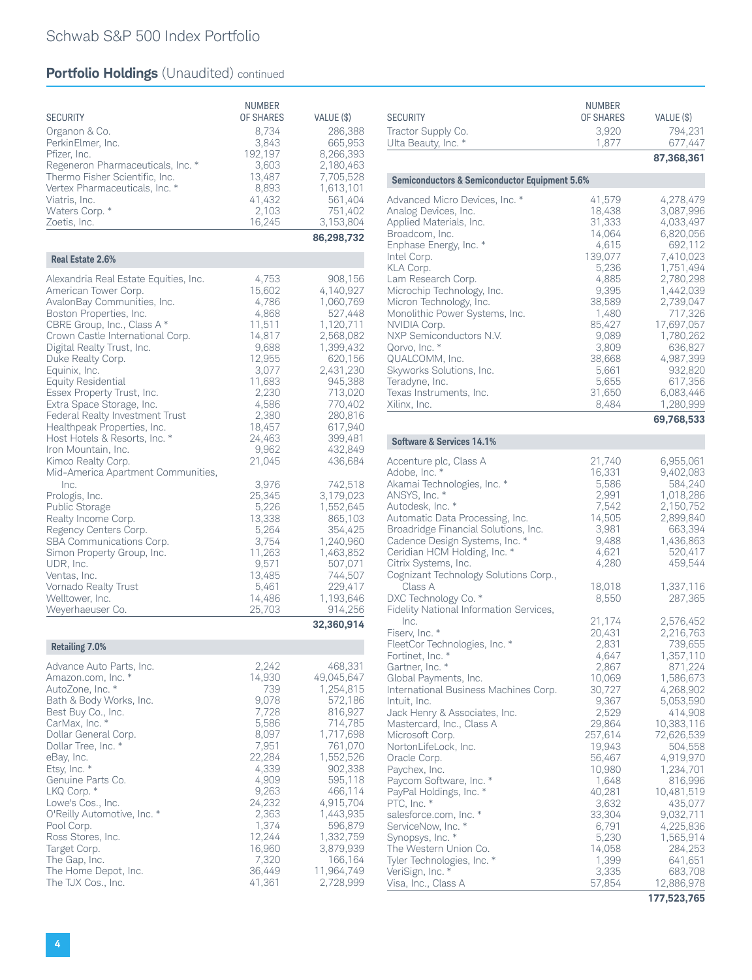| <b>SECURITY</b><br>Organon & Co.<br>PerkinElmer, Inc.<br>Pfizer, Inc.<br>Regeneron Pharmaceuticals, Inc. *<br>Thermo Fisher Scientific, Inc.<br>Vertex Pharmaceuticals, Inc. *<br>Viatris, Inc.<br>Waters Corp. *<br>Zoetis, Inc.                                                                                                                                                                                                                                                                                                                                                                                                                                                                                                                                          | <b>NUMBER</b><br>OF SHARES<br>8,734<br>3,843<br>192,197<br>3,603<br>13,487<br>8,893<br>41,432<br>2,103<br>16,245                                                                                                                                                      | VALUE (\$)<br>286,388<br>665,953<br>8,266,393<br>2,180,463<br>7,705,528<br>1,613,101<br>561,404<br>751,402<br>3,153,804<br>86,298,732                                                                                                                                                                                                  |
|----------------------------------------------------------------------------------------------------------------------------------------------------------------------------------------------------------------------------------------------------------------------------------------------------------------------------------------------------------------------------------------------------------------------------------------------------------------------------------------------------------------------------------------------------------------------------------------------------------------------------------------------------------------------------------------------------------------------------------------------------------------------------|-----------------------------------------------------------------------------------------------------------------------------------------------------------------------------------------------------------------------------------------------------------------------|----------------------------------------------------------------------------------------------------------------------------------------------------------------------------------------------------------------------------------------------------------------------------------------------------------------------------------------|
| Real Estate 2.6%                                                                                                                                                                                                                                                                                                                                                                                                                                                                                                                                                                                                                                                                                                                                                           |                                                                                                                                                                                                                                                                       |                                                                                                                                                                                                                                                                                                                                        |
| Alexandria Real Estate Equities, Inc.<br>American Tower Corp.<br>AvalonBay Communities, Inc.<br>Boston Properties, Inc.<br>CBRE Group, Inc., Class A *<br>Crown Castle International Corp.<br>Digital Realty Trust, Inc.<br>Duke Realty Corp.<br>Equinix, Inc.<br><b>Equity Residential</b><br>Essex Property Trust, Inc.<br>Extra Space Storage, Inc.<br>Federal Realty Investment Trust<br>Healthpeak Properties, Inc.<br>Host Hotels & Resorts, Inc. *<br>Iron Mountain, Inc.<br>Kimco Realty Corp.<br>Mid-America Apartment Communities,<br>Inc.<br>Prologis, Inc.<br>Public Storage<br>Realty Income Corp.<br>Regency Centers Corp.<br>SBA Communications Corp.<br>Simon Property Group, Inc.<br>UDR, Inc.<br>Ventas, Inc.<br>Vornado Realty Trust<br>Welltower, Inc. | 4,753<br>15,602<br>4,786<br>4,868<br>11,511<br>14,817<br>9,688<br>12,955<br>3,077<br>11,683<br>2,230<br>4,586<br>2,380<br>18,457<br>24,463<br>9,962<br>21,045<br>3,976<br>25,345<br>5,226<br>13,338<br>5,264<br>3,754<br>11,263<br>9,571<br>13,485<br>5,461<br>14,486 | 908,156<br>4,140,927<br>1,060,769<br>527,448<br>1,120,711<br>2,568,082<br>1,399,432<br>620,156<br>2,431,230<br>945,388<br>713,020<br>770,402<br>280,816<br>617,940<br>399,481<br>432,849<br>436,684<br>742,518<br>3,179,023<br>1,552,645<br>865,103<br>354,425<br>1,240,960<br>1,463,852<br>507,071<br>744,507<br>229,417<br>1,193,646 |
| Weyerhaeuser Co.                                                                                                                                                                                                                                                                                                                                                                                                                                                                                                                                                                                                                                                                                                                                                           | 25,703                                                                                                                                                                                                                                                                | 914,256<br>32,360,914                                                                                                                                                                                                                                                                                                                  |
|                                                                                                                                                                                                                                                                                                                                                                                                                                                                                                                                                                                                                                                                                                                                                                            |                                                                                                                                                                                                                                                                       |                                                                                                                                                                                                                                                                                                                                        |
| <b>Retailing 7.0%</b><br>Advance Auto Parts, Inc.<br>Amazon.com, Inc. *<br>AutoZone, Inc. *<br>Bath & Body Works, Inc.<br>Best Buy Co., Inc.<br>CarMax, Inc. *<br>Dollar General Corp.<br>Dollar Tree, Inc. *<br>eBay, Inc.<br>Etsy, Inc. *<br>Genuine Parts Co.<br>LKQ Corp. *<br>Lowe's Cos., Inc.<br>O'Reilly Automotive, Inc. *<br>Pool Corp.<br>Ross Stores, Inc.<br>Target Corp.<br>The Gap, Inc.<br>The Home Depot, Inc.<br>The TJX Cos., Inc.                                                                                                                                                                                                                                                                                                                      | 2,242<br>14,930<br>739<br>9,078<br>7,728<br>5,586<br>8,097<br>7,951<br>22,284<br>4,339<br>4,909<br>9,263<br>24,232<br>2,363<br>1,374<br>12,244<br>16,960<br>7,320<br>36,449<br>41,361                                                                                 | 468,331<br>49,045,647<br>1,254,815<br>572,186<br>816,927<br>714,785<br>1,717,698<br>761,070<br>1,552,526<br>902,338<br>595,118<br>466,114<br>4,915,704<br>1,443,935<br>596,879<br>1,332,759<br>3,879,939<br>166,164<br>11,964,749<br>2,728,999                                                                                         |

| <b>SECURITY</b><br>Tractor Supply Co.<br>Ulta Beauty, Inc. *                                                                                                                                                                                                                                                                                                                                                                                                                                                                           | NUMBER<br>OF SHARES<br>3,920<br>1,877                                                                                                                                                                                    | VALUE (\$)<br>794,231<br>677,447<br>87,368,361                                                                                                                                                                                                                                           |
|----------------------------------------------------------------------------------------------------------------------------------------------------------------------------------------------------------------------------------------------------------------------------------------------------------------------------------------------------------------------------------------------------------------------------------------------------------------------------------------------------------------------------------------|--------------------------------------------------------------------------------------------------------------------------------------------------------------------------------------------------------------------------|------------------------------------------------------------------------------------------------------------------------------------------------------------------------------------------------------------------------------------------------------------------------------------------|
|                                                                                                                                                                                                                                                                                                                                                                                                                                                                                                                                        |                                                                                                                                                                                                                          |                                                                                                                                                                                                                                                                                          |
| <b>Semiconductors &amp; Semiconductor Equipment 5.6%</b>                                                                                                                                                                                                                                                                                                                                                                                                                                                                               |                                                                                                                                                                                                                          |                                                                                                                                                                                                                                                                                          |
| Advanced Micro Devices, Inc. *<br>Analog Devices, Inc.<br>Applied Materials, Inc.<br>Broadcom, Inc.<br>Enphase Energy, Inc. *<br>Intel Corp.<br>KLA Corp.<br>Lam Research Corp.<br>Microchip Technology, Inc.<br>Micron Technology, Inc.<br>Monolithic Power Systems, Inc.<br>NVIDIA Corp.<br>NXP Semiconductors N.V.<br>Qorvo, Inc. *<br>QUALCOMM, Inc.<br>Skyworks Solutions, Inc.<br>Teradyne, Inc.<br>Texas Instruments, Inc.<br>Xilinx, Inc.                                                                                      | 41,579<br>18,438<br>31,333<br>14,064<br>4,615<br>139,077<br>5,236<br>4,885<br>9,395<br>38,589<br>1,480<br>85,427<br>9,089<br>3,809<br>38,668<br>5,661<br>5,655<br>31,650<br>8,484                                        | 4,278,479<br>3,087,996<br>4,033,497<br>6,820,056<br>692,112<br>7,410,023<br>1,751,494<br>2,780,298<br>1,442,039<br>2,739,047<br>717,326<br>17,697,057<br>1,780,262<br>636,827<br>4,987,399<br>932,820<br>617,356<br>6,083,446<br>1,280,999                                               |
|                                                                                                                                                                                                                                                                                                                                                                                                                                                                                                                                        |                                                                                                                                                                                                                          | 69,768,533                                                                                                                                                                                                                                                                               |
| Software & Services 14.1%                                                                                                                                                                                                                                                                                                                                                                                                                                                                                                              |                                                                                                                                                                                                                          |                                                                                                                                                                                                                                                                                          |
| Accenture plc, Class A<br>Adobe, Inc. *<br>Akamai Technologies, Inc. *<br>ANSYS, Inc. *<br>Autodesk, Inc. *<br>Automatic Data Processing, Inc.<br>Broadridge Financial Solutions, Inc.<br>Cadence Design Systems, Inc. *<br>Ceridian HCM Holding, Inc. *<br>Citrix Systems, Inc.<br>Cognizant Technology Solutions Corp.,                                                                                                                                                                                                              | 21,740<br>16,331<br>5,586<br>2,991<br>7,542<br>14,505<br>3,981<br>9,488<br>4,621<br>4,280                                                                                                                                | 6,955,061<br>9,402,083<br>584,240<br>1,018,286<br>2,150,752<br>2,899,840<br>663,394<br>1,436,863<br>520,417<br>459,544                                                                                                                                                                   |
| Class A<br>DXC Technology Co. *<br>Fidelity National Information Services,                                                                                                                                                                                                                                                                                                                                                                                                                                                             | 18,018<br>8,550                                                                                                                                                                                                          | 1,337,116<br>287,365                                                                                                                                                                                                                                                                     |
| Fiserv, Inc. *<br>FleetCor Technologies, Inc. *<br>Fortinet, Inc. *<br>Gartner, Inc. *<br>Global Payments, Inc.<br>International Business Machines Corp.<br>Intuit, Inc.<br>Jack Henry & Associates, Inc.<br>Mastercard, Inc., Class A<br>Microsoft Corp.<br>NortonLifeLock, Inc.<br>Oracle Corp.<br>Paychex, Inc.<br>Paycom Software, Inc. *<br>PayPal Holdings, Inc. *<br>PTC, Inc. *<br>salesforce.com, Inc. *<br>ServiceNow, Inc. *<br>Synopsys, Inc. *<br>The Western Union Co.<br>Tyler Technologies, Inc. *<br>VeriSign, Inc. * | 21,174<br>20,431<br>2,831<br>4,647<br>2,867<br>10,069<br>30,727<br>9,367<br>2,529<br>29,864<br>257,614<br>19,943<br>56,467<br>10,980<br>1,648<br>40,281<br>3,632<br>33,304<br>6,791<br>5,230<br>14,058<br>1,399<br>3,335 | 2,576,452<br>2,216,763<br>739,655<br>1,357,110<br>871,224<br>1,586,673<br>4,268,902<br>5,053,590<br>414,908<br>10,383,116<br>72,626,539<br>504,558<br>4,919,970<br>1,234,701<br>816,996<br>10,481,519<br>435,077<br>9,032,711<br>4,225,836<br>1,565,914<br>284,253<br>641,651<br>683,708 |
| Visa, Inc., Class A                                                                                                                                                                                                                                                                                                                                                                                                                                                                                                                    | 57,854                                                                                                                                                                                                                   | 12,886,978                                                                                                                                                                                                                                                                               |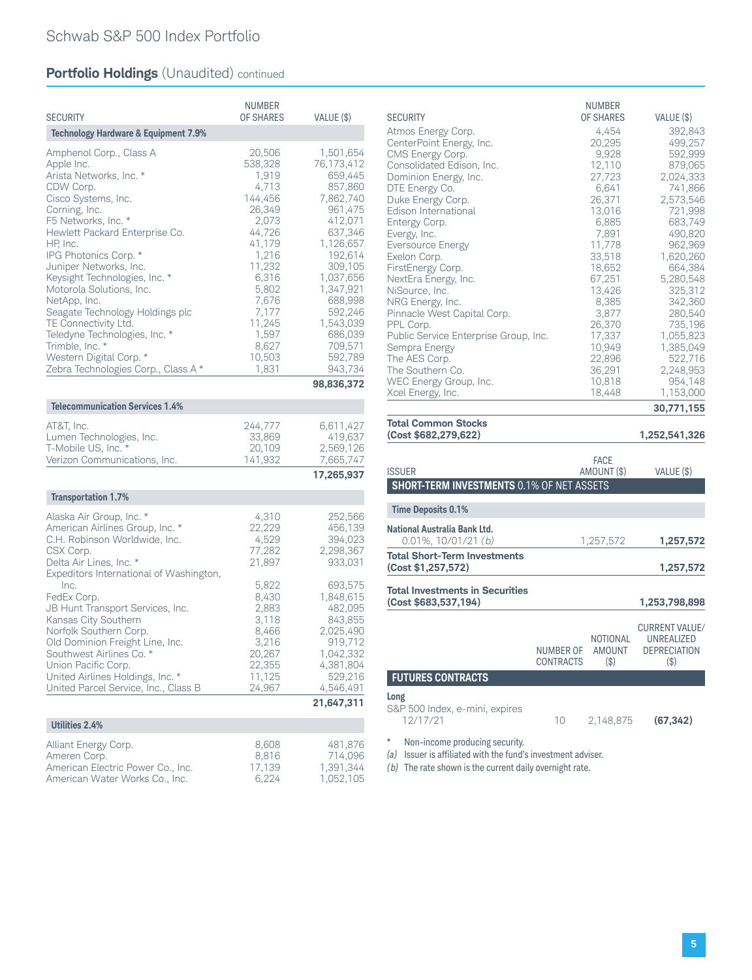| <b>SECURITY</b>                                                                                                                                                                                                                                                                                                                                                                                                                                                                                                         | <b>NUMBER</b><br><b>OF SHARES</b>                                                                                                                                                  | VALUE (\$)                                                                                                                                                                                                                   |
|-------------------------------------------------------------------------------------------------------------------------------------------------------------------------------------------------------------------------------------------------------------------------------------------------------------------------------------------------------------------------------------------------------------------------------------------------------------------------------------------------------------------------|------------------------------------------------------------------------------------------------------------------------------------------------------------------------------------|------------------------------------------------------------------------------------------------------------------------------------------------------------------------------------------------------------------------------|
|                                                                                                                                                                                                                                                                                                                                                                                                                                                                                                                         |                                                                                                                                                                                    |                                                                                                                                                                                                                              |
| <b>Technology Hardware &amp; Equipment 7.9%</b><br>Amphenol Corp., Class A<br>Apple Inc.<br>Arista Networks, Inc. *<br>CDW Corp.<br>Cisco Systems, Inc.<br>Corning, Inc.<br>F5 Networks, Inc. *<br>Hewlett Packard Enterprise Co.<br>HP, Inc.<br>IPG Photonics Corp. *<br>Juniper Networks, Inc.<br>Keysight Technologies, Inc. *<br>Motorola Solutions, Inc.<br>NetApp, Inc.<br>Seagate Technology Holdings plc<br>TE Connectivity Ltd.<br>Teledyne Technologies, Inc. *<br>Trimble, Inc. *<br>Western Digital Corp. * | 20,506<br>538,328<br>1,919<br>4,713<br>144,456<br>26,349<br>2,073<br>44,726<br>41,179<br>1,216<br>11,232<br>6,316<br>5,802<br>7,676<br>7,177<br>11,245<br>1,597<br>8,627<br>10,503 | 1,501,654<br>76,173,412<br>659,445<br>857,860<br>7,862,740<br>961,475<br>412,071<br>637,346<br>1,126,657<br>192,614<br>309,105<br>1,037,656<br>1,347,921<br>688,998<br>592,246<br>1,543,039<br>686,039<br>709,571<br>592,789 |
| Zebra Technologies Corp., Class A*                                                                                                                                                                                                                                                                                                                                                                                                                                                                                      | 1,831                                                                                                                                                                              | 943,734<br>98,836,372                                                                                                                                                                                                        |
|                                                                                                                                                                                                                                                                                                                                                                                                                                                                                                                         |                                                                                                                                                                                    |                                                                                                                                                                                                                              |
| <b>Telecommunication Services 1.4%</b>                                                                                                                                                                                                                                                                                                                                                                                                                                                                                  |                                                                                                                                                                                    |                                                                                                                                                                                                                              |
| AT&T, Inc.<br>Lumen Technologies, Inc.<br>T-Mobile US, Inc. *<br>Verizon Communications, Inc.                                                                                                                                                                                                                                                                                                                                                                                                                           | 244,777<br>33,869<br>20,109<br>141,932                                                                                                                                             | 6,611,427<br>419,637<br>2,569,126<br>7,665,747                                                                                                                                                                               |
|                                                                                                                                                                                                                                                                                                                                                                                                                                                                                                                         |                                                                                                                                                                                    | 17,265,937                                                                                                                                                                                                                   |
| <b>Transportation 1.7%</b>                                                                                                                                                                                                                                                                                                                                                                                                                                                                                              |                                                                                                                                                                                    |                                                                                                                                                                                                                              |
| Alaska Air Group, Inc. *<br>American Airlines Group, Inc. *<br>C.H. Robinson Worldwide, Inc.<br>CSX Corp.<br>Delta Air Lines, Inc. *<br>Expeditors International of Washington,<br>Inc.<br>FedEx Corp.<br>JB Hunt Transport Services, Inc.<br>Kansas City Southern<br>Norfolk Southern Corp.<br>Old Dominion Freight Line, Inc.<br>Southwest Airlines Co. *<br>Union Pacific Corp.                                                                                                                                      | 4,310<br>22,229<br>4,529<br>77,282<br>21,897<br>5,822<br>8,430<br>2,883<br>3,118<br>8,466<br>3,216<br>20,267<br>22,355                                                             | 252,566<br>456,139<br>394,023<br>2,298,367<br>933,031<br>693,575<br>1,848,615<br>482,095<br>843,855<br>2,025,490<br>919,712<br>1,042,332<br>4,381,804                                                                        |
| United Airlines Holdings, Inc. *<br>United Parcel Service, Inc., Class B                                                                                                                                                                                                                                                                                                                                                                                                                                                | 11,125<br>24,967                                                                                                                                                                   | 529,216<br>4,546,491                                                                                                                                                                                                         |
|                                                                                                                                                                                                                                                                                                                                                                                                                                                                                                                         |                                                                                                                                                                                    | 21,647,311                                                                                                                                                                                                                   |
| <b>Utilities 2.4%</b>                                                                                                                                                                                                                                                                                                                                                                                                                                                                                                   |                                                                                                                                                                                    |                                                                                                                                                                                                                              |
| Alliant Energy Corp.<br>Ameren Corp.<br>American Electric Power Co., Inc.<br>American Water Works Co., Inc.                                                                                                                                                                                                                                                                                                                                                                                                             | 8,608<br>8,816<br>17,139<br>6,224                                                                                                                                                  | 481,876<br>714,096<br>1,391,344<br>1,052,105                                                                                                                                                                                 |

| <b>SECURITY</b>                       | <b>NUMBER</b><br>OF SHARES | VALUE (\$) |
|---------------------------------------|----------------------------|------------|
| Atmos Energy Corp.                    | 4,454                      | 392,843    |
| CenterPoint Energy, Inc.              | 20,295                     | 499,257    |
| CMS Energy Corp.                      | 9,928                      | 592,999    |
| Consolidated Edison, Inc.             | 12,110                     | 879,065    |
| Dominion Energy, Inc.                 | 27,723                     | 2,024,333  |
| DTE Energy Co.                        | 6,641                      | 741,866    |
| Duke Energy Corp.                     | 26,371                     | 2,573,546  |
| Edison International                  | 13,016                     | 721,998    |
| Entergy Corp.                         | 6.885                      | 683,749    |
| Evergy, Inc.                          | 7,891                      | 490,820    |
| Eversource Energy                     | 11,778                     | 962,969    |
| Exelon Corp.                          | 33,518                     | 1,620,260  |
| FirstEnergy Corp.                     | 18,652                     | 664,384    |
| NextEra Energy, Inc.                  | 67,251                     | 5,280,548  |
| NiSource, Inc.                        | 13,426                     | 325,312    |
| NRG Energy, Inc.                      | 8,385                      | 342,360    |
| Pinnacle West Capital Corp.           | 3,877                      | 280,540    |
| PPL Corp.                             | 26,370                     | 735,196    |
| Public Service Enterprise Group, Inc. | 17,337                     | 1,055,823  |
| Sempra Energy                         | 10,949                     | 1,385,049  |
| The AES Corp.                         | 22,896                     | 522,716    |
| The Southern Co.                      | 36,291                     | 2,248,953  |
| WEC Energy Group, Inc.                | 10,818                     | 954,148    |
| Xcel Energy, Inc.                     | 18,448                     | 1,153,000  |
|                                       |                            | 30,771,155 |

| (Cost \$682,279,622)                                           |                               |                                                      | 1,252,541,326                                                         |
|----------------------------------------------------------------|-------------------------------|------------------------------------------------------|-----------------------------------------------------------------------|
| <b>ISSUER</b>                                                  |                               | <b>FACE</b><br>AMOUNT (\$)                           | VALUE (\$)                                                            |
| <b>SHORT-TERM INVESTMENTS 0.1% OF NET ASSETS</b>               |                               |                                                      |                                                                       |
| <b>Time Deposits 0.1%</b>                                      |                               |                                                      |                                                                       |
| National Australia Bank Ltd.<br>$0.01\%$ , $10/01/21$ (b)      |                               | 1,257,572                                            | 1,257,572                                                             |
| <b>Total Short-Term Investments</b><br>(Cost \$1,257,572)      |                               |                                                      | 1,257,572                                                             |
| <b>Total Investments in Securities</b><br>(Cost \$683,537,194) |                               |                                                      | 1,253,798,898                                                         |
|                                                                | NUMBER OF<br><b>CONTRACTS</b> | NOTIONAL<br>AMOUNT<br>$$\left( \frac{4}{9} \right)$$ | <b>CURRENT VALUE/</b><br>UNREALIZED<br><b>DEPRECIATION</b><br>$($ \$) |
| <b>FUTURES CONTRACTS</b>                                       |                               |                                                      |                                                                       |
| Long<br>S&P 500 Index, e-mini, expires<br>12/17/21             | 10                            | 2,148,875                                            | (67, 342)                                                             |
| *<br>Non-income producing security                             |                               |                                                      |                                                                       |

Non-income producing security.

**Total Common Stocks**

*(a)* Issuer is affiliated with the fund's investment adviser.

*(b)* The rate shown is the current daily overnight rate.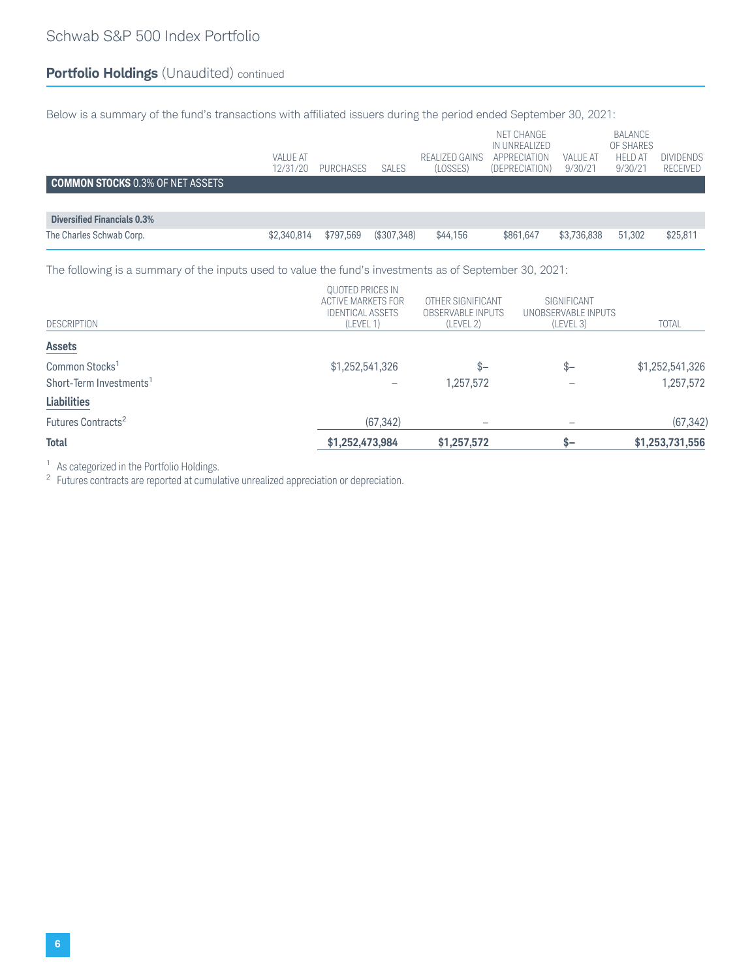Below is a summary of the fund's transactions with affiliated issuers during the period ended September 30, 2021:

|                                         | <b>VALUE AT</b><br>12/31/20 | PURCHASES | <b>SALES</b> | REALIZED GAINS<br>(LOSSES) | NET CHANGE<br>IN UNREALIZED<br>APPRECIATION<br>(DEPRECIATION) | <b>VALUE AT</b><br>9/30/21 | BALANCE<br>OF SHARES<br><b>HELD AT</b><br>9/30/21 | <b>DIVIDENDS</b><br><b>RECEIVED</b> |
|-----------------------------------------|-----------------------------|-----------|--------------|----------------------------|---------------------------------------------------------------|----------------------------|---------------------------------------------------|-------------------------------------|
| <b>COMMON STOCKS 0.3% OF NET ASSETS</b> |                             |           |              |                            |                                                               |                            |                                                   |                                     |
|                                         |                             |           |              |                            |                                                               |                            |                                                   |                                     |
| Diversified Financials 0.3%             |                             |           |              |                            |                                                               |                            |                                                   |                                     |
| The Charles Schwab Corp.                | \$2,340,814                 | \$797,569 | (\$307,348)  | \$44,156                   | \$861,647                                                     | \$3,736,838                | 51.302                                            | \$25,811                            |

The following is a summary of the inputs used to value the fund's investments as of September 30, 2021:

| <b>Total</b>                                                      | \$1,252,473,984                                                                | \$1,257,572                                                | $S-$                                            | \$1,253,731,556              |
|-------------------------------------------------------------------|--------------------------------------------------------------------------------|------------------------------------------------------------|-------------------------------------------------|------------------------------|
| Futures Contracts <sup>2</sup>                                    | (67, 342)                                                                      |                                                            |                                                 | (67, 342)                    |
| <b>Liabilities</b>                                                |                                                                                |                                                            |                                                 |                              |
| Common Stocks <sup>1</sup><br>Short-Term Investments <sup>1</sup> | \$1,252,541,326                                                                | $S-$<br>1,257,572                                          | $s-$                                            | \$1,252,541,326<br>1,257,572 |
| <b>Assets</b>                                                     |                                                                                |                                                            |                                                 |                              |
| <b>DESCRIPTION</b>                                                | QUOTED PRICES IN<br>ACTIVE MARKETS FOR<br><b>IDENTICAL ASSETS</b><br>(LEVEL 1) | OTHER SIGNIFICANT<br><b>OBSERVABLE INPUTS</b><br>(LEVEL 2) | SIGNIFICANT<br>UNOBSERVABLE INPUTS<br>(LEVEL 3) | <b>TOTAL</b>                 |

<sup>1</sup> As categorized in the Portfolio Holdings.<br><sup>2</sup> Futures contracts are reported at cumulative unrealized appreciation or depreciation.